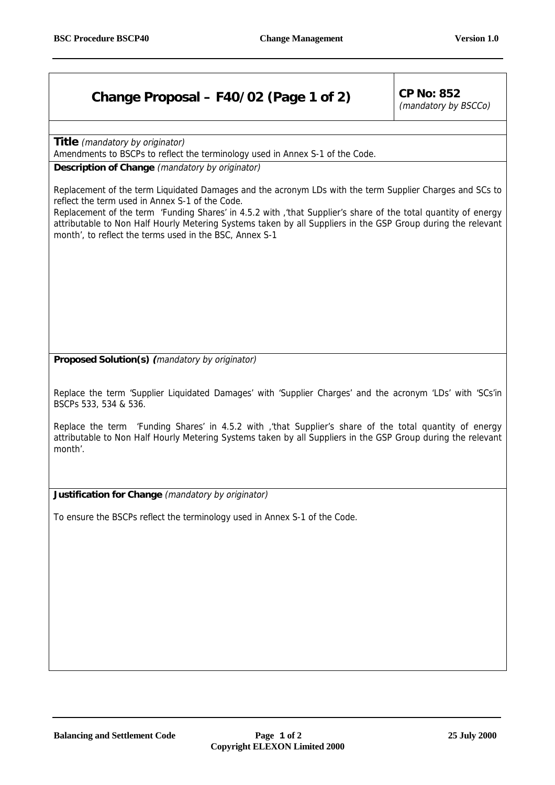## **Change Proposal – F40/02 (Page 1 of 2)**  $\vert$  CP No: 852

(mandatory by BSCCo)

**Title** (mandatory by originator)

Amendments to BSCPs to reflect the terminology used in Annex S-1 of the Code.

**Description of Change** (mandatory by originator)

Replacement of the term Liquidated Damages and the acronym LDs with the term Supplier Charges and SCs to reflect the term used in Annex S-1 of the Code.

Replacement of the term 'Funding Shares' in 4.5.2 with ,'that Supplier's share of the total quantity of energy attributable to Non Half Hourly Metering Systems taken by all Suppliers in the GSP Group during the relevant month', to reflect the terms used in the BSC, Annex S-1

**Proposed Solution(s) (**mandatory by originator)

Replace the term 'Supplier Liquidated Damages' with 'Supplier Charges' and the acronym 'LDs' with 'SCs'in BSCPs 533, 534 & 536.

Replace the term 'Funding Shares' in 4.5.2 with ,'that Supplier's share of the total quantity of energy attributable to Non Half Hourly Metering Systems taken by all Suppliers in the GSP Group during the relevant month'.

**Justification for Change** (mandatory by originator)

To ensure the BSCPs reflect the terminology used in Annex S-1 of the Code.